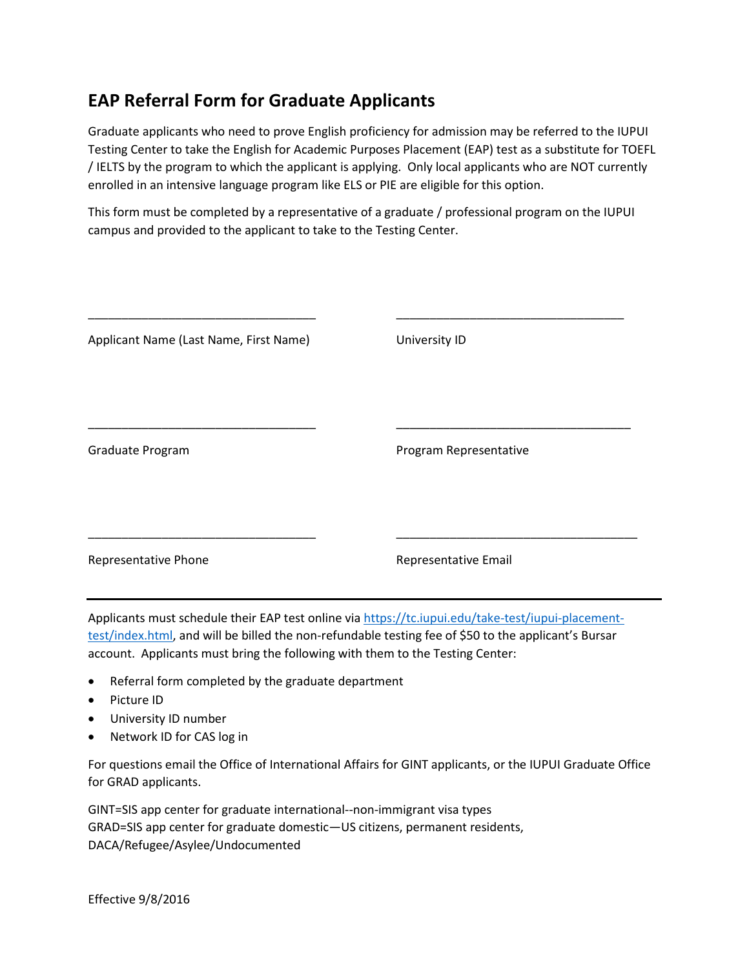## **EAP Referral Form for Graduate Applicants**

Graduate applicants who need to prove English proficiency for admission may be referred to the IUPUI Testing Center to take the English for Academic Purposes Placement (EAP) test as a substitute for TOEFL / IELTS by the program to which the applicant is applying. Only local applicants who are NOT currently enrolled in an intensive language program like ELS or PIE are eligible for this option.

This form must be completed by a representative of a graduate / professional program on the IUPUI campus and provided to the applicant to take to the Testing Center.

| Applicant Name (Last Name, First Name) | University ID          |
|----------------------------------------|------------------------|
| Graduate Program                       | Program Representative |
| Representative Phone                   | Representative Email   |

Applicants must schedule their EAP test online via [https://tc.iupui.edu/take-test/iupui-placement](https://tc.iupui.edu/take-test/iupui-placement-test/index.html)[test/index.html,](https://tc.iupui.edu/take-test/iupui-placement-test/index.html) and will be billed the non-refundable testing fee of \$50 to the applicant's Bursar account. Applicants must bring the following with them to the Testing Center:

- Referral form completed by the graduate department
- Picture ID
- University ID number
- Network ID for CAS log in

For questions email the Office of International Affairs for GINT applicants, or the IUPUI Graduate Office for GRAD applicants.

GINT=SIS app center for graduate international--non-immigrant visa types GRAD=SIS app center for graduate domestic—US citizens, permanent residents, DACA/Refugee/Asylee/Undocumented